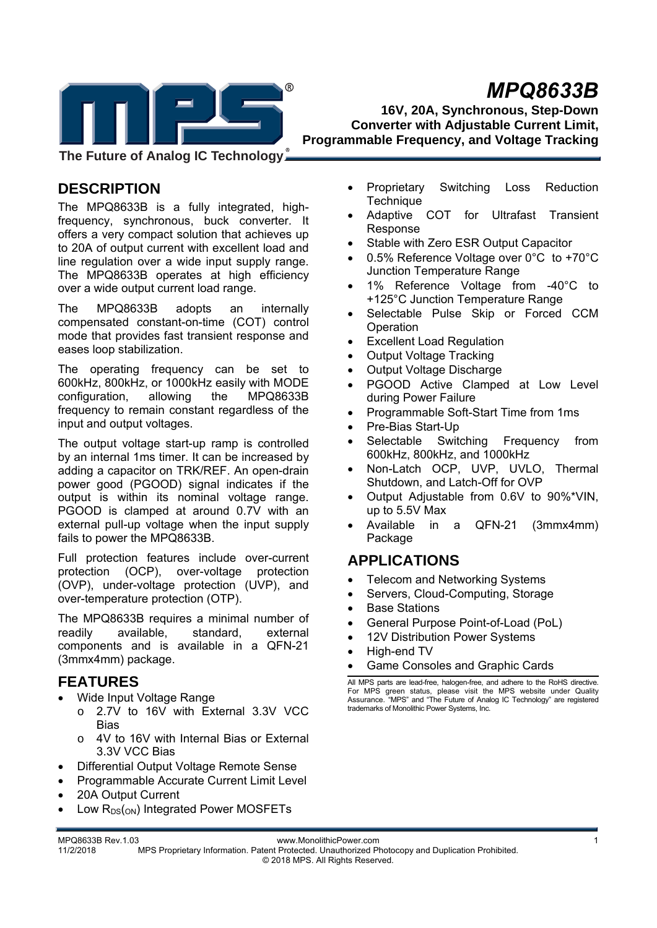# *MPQ8633B*



**16V, 20A, Synchronous, Step-Down Converter with Adjustable Current Limit, Programmable Frequency, and Voltage Tracking** 

**The Future of Analog IC Technology**

## **DESCRIPTION**

The MPQ8633B is a fully integrated, highfrequency, synchronous, buck converter. It offers a very compact solution that achieves up to 20A of output current with excellent load and line regulation over a wide input supply range. The MPQ8633B operates at high efficiency over a wide output current load range.

The MPQ8633B adopts an internally compensated constant-on-time (COT) control mode that provides fast transient response and eases loop stabilization.

The operating frequency can be set to 600kHz, 800kHz, or 1000kHz easily with MODE configuration, allowing the MPQ8633B frequency to remain constant regardless of the input and output voltages.

The output voltage start-up ramp is controlled by an internal 1ms timer. It can be increased by adding a capacitor on TRK/REF. An open-drain power good (PGOOD) signal indicates if the output is within its nominal voltage range. PGOOD is clamped at around 0.7V with an external pull-up voltage when the input supply fails to power the MPQ8633B.

Full protection features include over-current protection (OCP), over-voltage protection (OVP), under-voltage protection (UVP), and over-temperature protection (OTP).

The MPQ8633B requires a minimal number of readily available, standard, external components and is available in a QFN-21 (3mmx4mm) package.

## **FEATURES**

- Wide Input Voltage Range
	- o 2.7V to 16V with External 3.3V VCC **Bias**
	- o 4V to 16V with Internal Bias or External 3.3V VCC Bias
- Differential Output Voltage Remote Sense
- Programmable Accurate Current Limit Level
- 20A Output Current
- Low  $R_{DS(ON)}$  Integrated Power MOSFETs
- Proprietary Switching Loss Reduction **Technique**
- Adaptive COT for Ultrafast Transient Response
- Stable with Zero ESR Output Capacitor
- 0.5% Reference Voltage over 0°C to +70°C Junction Temperature Range
- 1% Reference Voltage from -40°C to +125°C Junction Temperature Range
- Selectable Pulse Skip or Forced CCM Operation
- Excellent Load Regulation
- Output Voltage Tracking
- Output Voltage Discharge
- PGOOD Active Clamped at Low Level during Power Failure
- Programmable Soft-Start Time from 1ms
- Pre-Bias Start-Up
- Selectable Switching Frequency from 600kHz, 800kHz, and 1000kHz
- Non-Latch OCP, UVP, UVLO, Thermal Shutdown, and Latch-Off for OVP
- Output Adjustable from 0.6V to 90%\*VIN, up to 5.5V Max
- Available in a QFN-21 (3mmx4mm) Package

## **APPLICATIONS**

- Telecom and Networking Systems
- Servers, Cloud-Computing, Storage
- Base Stations
- General Purpose Point-of-Load (PoL)
- 12V Distribution Power Systems
- High-end TV
- Game Consoles and Graphic Cards

All MPS parts are lead-free, halogen-free, and adhere to the RoHS directive. For MPS green status, please visit the MPS website under Quality Assurance. "MPS" and "The Future of Analog IC Technology" are registered trademarks of Monolithic Power Systems, Inc.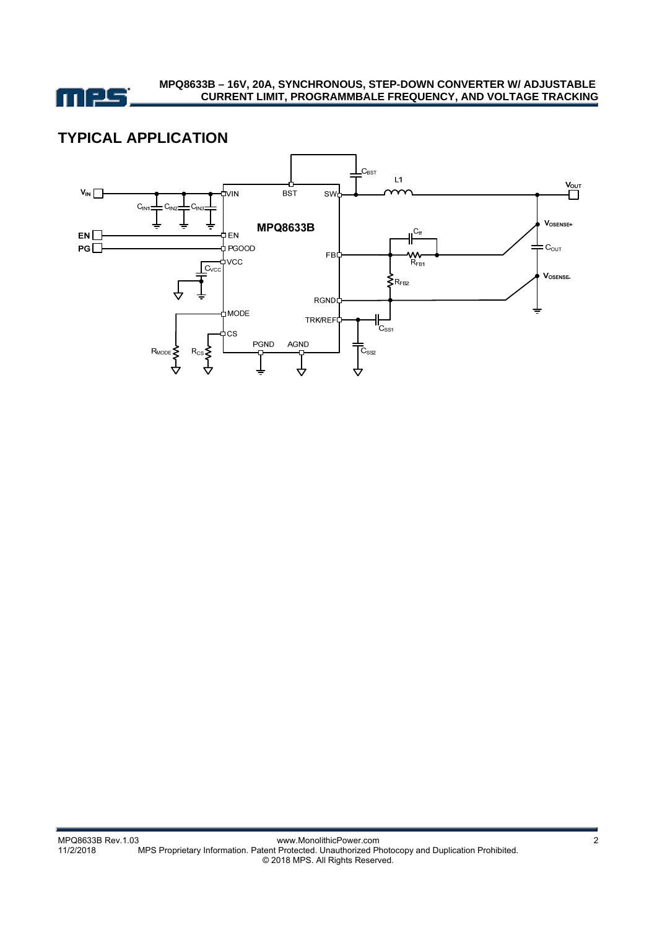

## **TYPICAL APPLICATION**

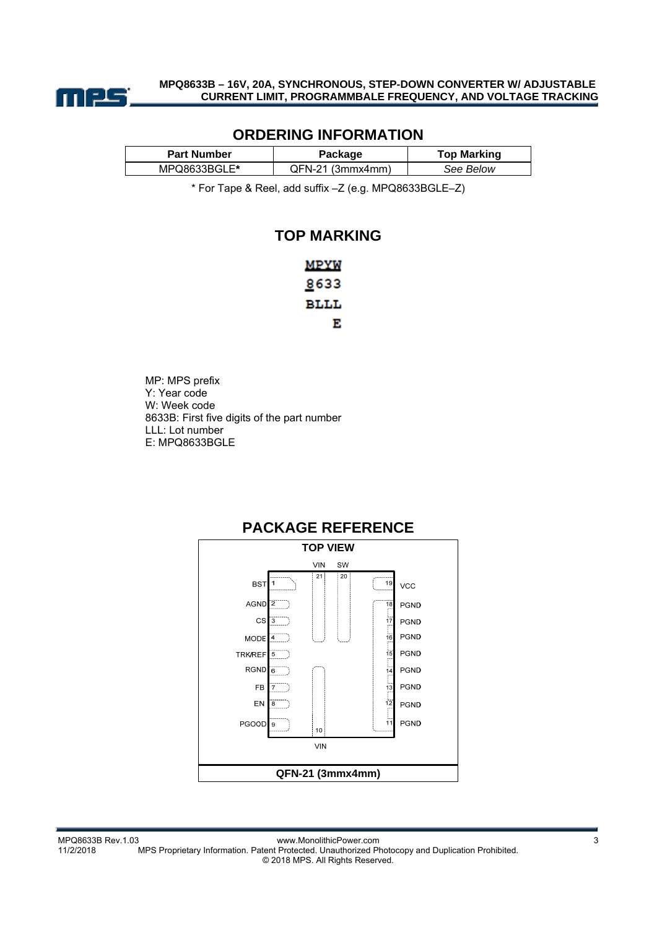

### **ORDERING INFORMATION**

| <b>Part Number</b> | Package          | <b>Top Marking</b> |
|--------------------|------------------|--------------------|
| MPQ8633BGLE*       | OFN-21 (3mmx4mm) | See Below          |

\* For Tape & Reel, add suffix –Z (e.g. MPQ8633BGLE–Z)

### **TOP MARKING**

| MPYW         |
|--------------|
| <u>8</u> 633 |
| BLLL         |
| Е            |

MP: MPS prefix Y: Year code W: Week code 8633B: First five digits of the part number LLL: Lot number E: MPQ8633BGLE

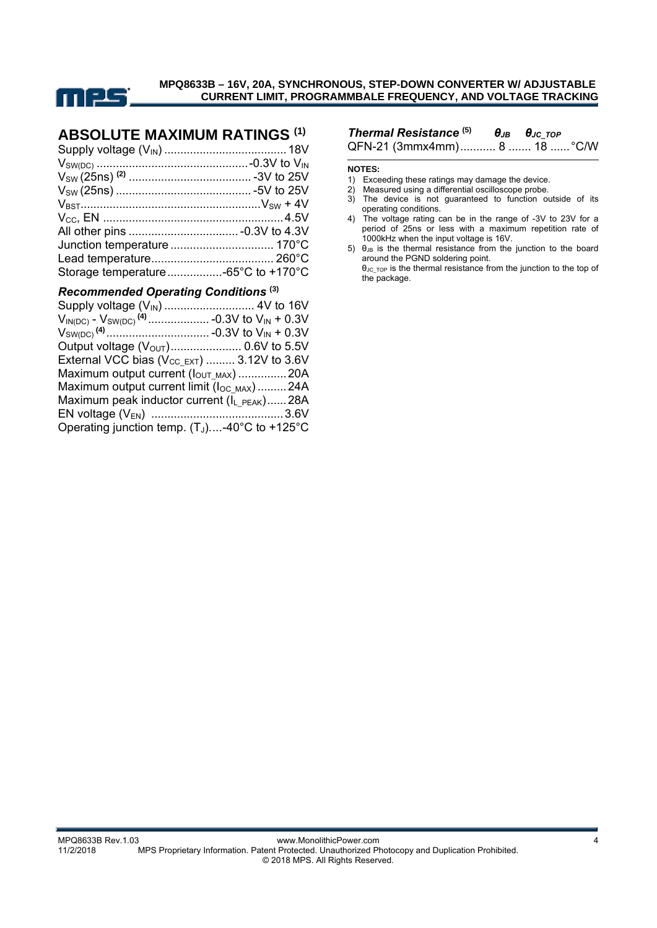

## **ABSOLUTE MAXIMUM RATINGS (1)**

| Storage temperature -65°C to +170°C |  |
|-------------------------------------|--|
|                                     |  |

#### *Recommended Operating Conditions* **(3)**

| External VCC bias $(V_{CC\_EXT})$ 3.12V to 3.6V         |  |
|---------------------------------------------------------|--|
| Maximum output current (lout MAX)  20A                  |  |
| Maximum output current limit (loc MAX) 24A              |  |
| Maximum peak inductor current (I <sub>L PEAK</sub> )28A |  |
|                                                         |  |
| Operating junction temp. $(T_J)$ -40°C to +125°C        |  |

## *Thermal Resistance* **(5)** *θJB θJC\_TOP*

QFN-21 (3mmx4mm) ........... 8 ....... 18 ...... °C/W

#### **NOTES:**

- 1) Exceeding these ratings may damage the device.
- 2) Measured using a differential oscilloscope probe.
- 3) The device is not guaranteed to function outside of its operating conditions.
- 4) The voltage rating can be in the range of -3V to 23V for a period of 25ns or less with a maximum repetition rate of 1000kHz when the input voltage is 16V.
- $5)$  θ<sub>JB</sub> is the thermal resistance from the junction to the board around the PGND soldering point.

θJC\_TOP is the thermal resistance from the junction to the top of the package.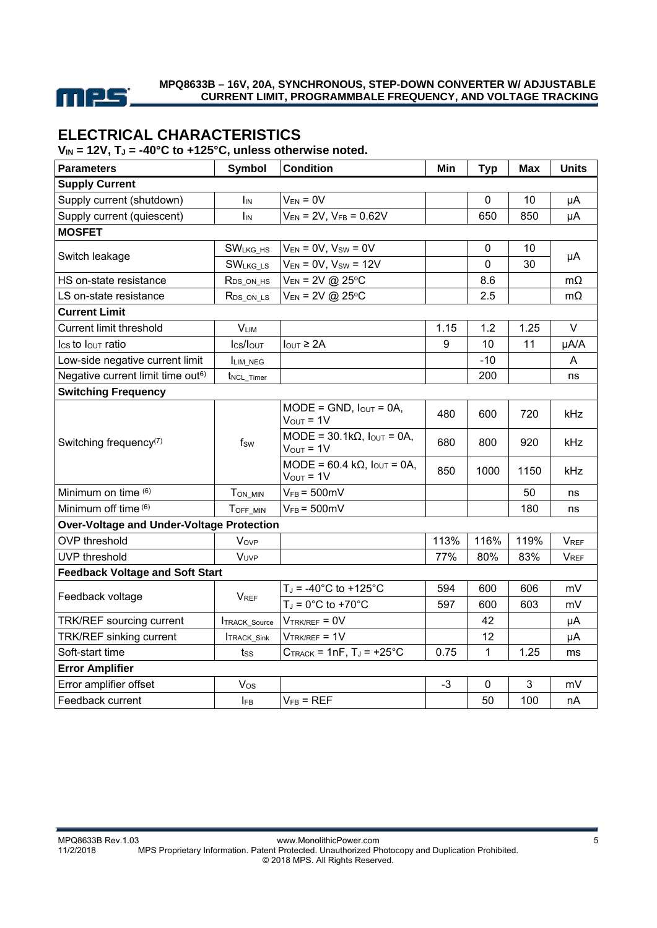

## **ELECTRICAL CHARACTERISTICS**

V<sub>IN</sub> = 12V, T<sub>J</sub> = -40°C to +125°C, unless otherwise noted.

| <b>Parameters</b>                                | <b>Symbol</b>          | <b>Condition</b>                                                     | Min  | <b>Typ</b> | <b>Max</b>      | <b>Units</b> |
|--------------------------------------------------|------------------------|----------------------------------------------------------------------|------|------------|-----------------|--------------|
| <b>Supply Current</b>                            |                        |                                                                      |      |            |                 |              |
| Supply current (shutdown)                        | <b>I</b> IN            | $V_{EN} = 0V$                                                        |      | 0          | 10              | μA           |
| Supply current (quiescent)                       | IIN                    | $V_{EN}$ = 2V, $V_{FB}$ = 0.62V                                      |      | 650        | 850             | μA           |
| <b>MOSFET</b>                                    |                        |                                                                      |      |            |                 |              |
|                                                  | <b>SWLKG HS</b>        | $V_{EN} = 0V$ , $V_{SW} = 0V$                                        |      | 0          | 10 <sup>1</sup> |              |
| Switch leakage                                   | <b>SWLKG LS</b>        | $V_{EN} = 0V$ , $V_{SW} = 12V$                                       |      | 0          | 30              | μA           |
| HS on-state resistance                           | $R_{DS_ON_Hs}$         | $V_{EN}$ = 2V @ 25°C                                                 |      | 8.6        |                 | $m\Omega$    |
| LS on-state resistance                           | R <sub>DS_ON_LS</sub>  | $V_{EN} = 2V (225°C)$                                                |      | 2.5        |                 | $m\Omega$    |
| <b>Current Limit</b>                             |                        |                                                                      |      |            |                 |              |
| <b>Current limit threshold</b>                   | $V_{LIM}$              |                                                                      | 1.15 | 1.2        | 1.25            | V            |
| Ics to lour ratio                                | Ics/Iout               | $I_{OUT} \geq 2A$                                                    | 9    | 10         | 11              | µA/A         |
| Low-side negative current limit                  | LIM_NEG                |                                                                      |      | $-10$      |                 | A            |
| Negative current limit time out <sup>6)</sup>    | t <sub>NCL_Timer</sub> |                                                                      |      | 200        |                 | ns           |
| <b>Switching Frequency</b>                       |                        |                                                                      |      |            |                 |              |
|                                                  |                        | $MODE = GND$ , $I_{OUT} = OA$ ,<br>$V_{OUT} = 1V$                    | 480  | 600        | 720             | <b>kHz</b>   |
| Switching frequency <sup>(7)</sup>               | fsw                    | $MODE = 30.1k\Omega$ , $I_{OUT} = 0A$ ,<br>$V_{OUT} = 1V$            | 680  | 800        | 920             | kHz          |
|                                                  |                        | MODE = $60.4$ k $\Omega$ , $I_{\text{OUT}} = 0$ A,<br>$V_{OUT} = 1V$ | 850  | 1000       | 1150            | <b>kHz</b>   |
| Minimum on time (6)                              | TON MIN                | $V_{FB} = 500$ mV                                                    |      |            | 50              | ns           |
| Minimum off time (6)                             | TOFF MIN               | $V_{FB} = 500 \text{mV}$                                             |      |            | 180             | ns           |
| <b>Over-Voltage and Under-Voltage Protection</b> |                        |                                                                      |      |            |                 |              |
| <b>OVP</b> threshold                             | Vove                   |                                                                      | 113% | 116%       | 119%            | <b>VREF</b>  |
| <b>UVP</b> threshold                             | VUVP                   |                                                                      | 77%  | 80%        | 83%             | <b>VREF</b>  |
| <b>Feedback Voltage and Soft Start</b>           |                        |                                                                      |      |            |                 |              |
|                                                  | <b>V<sub>REF</sub></b> | $T_J = -40^{\circ}C$ to $+125^{\circ}C$                              | 594  | 600        | 606             | mV           |
| Feedback voltage                                 |                        | $T_J = 0^\circ C$ to +70 $^\circ C$                                  | 597  | 600        | 603             | mV           |
| TRK/REF sourcing current                         | <b>ITRACK_Source</b>   | $V_{TRK/REF} = 0V$                                                   |      | 42         |                 | μA           |
| TRK/REF sinking current                          | <b>ITRACK_Sink</b>     | $V$ TRK/REF = $1V$                                                   |      | 12         |                 | μA           |
| Soft-start time                                  | tss                    | $C_{\text{TRACK}} = 1 \text{nF}, T_J = +25^{\circ} \text{C}$         | 0.75 | 1          | 1.25            | ms           |
| <b>Error Amplifier</b>                           |                        |                                                                      |      |            |                 |              |
| Error amplifier offset                           | Vos                    |                                                                      | $-3$ | 0          | 3               | mV           |
| Feedback current                                 | <b>IFB</b>             | $V_{FB} = REF$                                                       |      | 50         | 100             | nA           |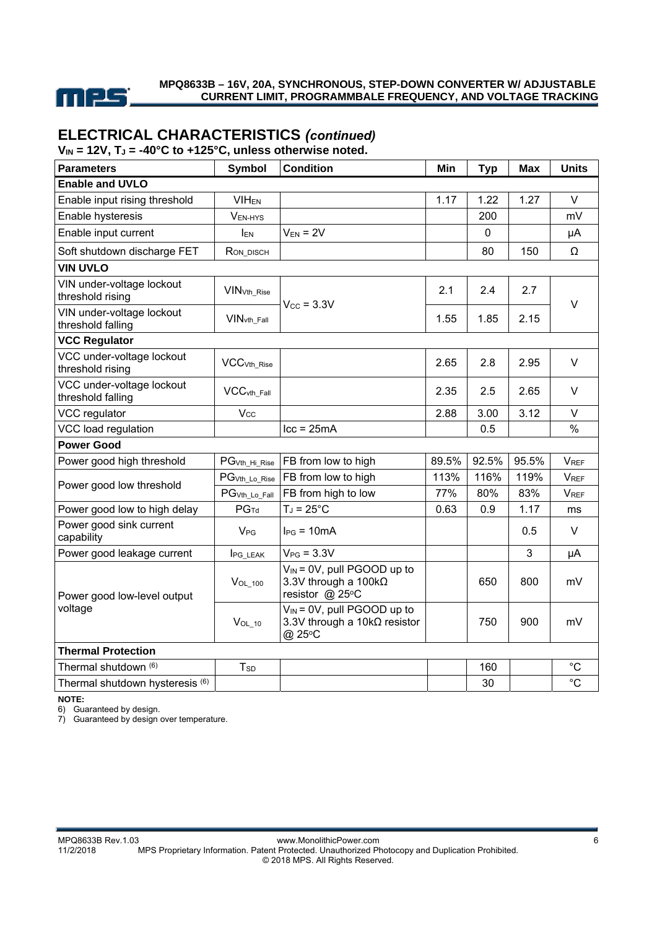

## **ELECTRICAL CHARACTERISTICS** *(continued)*

 $V_{IN}$  = 12V,  $T_J$  = -40°C to +125°C, unless otherwise noted.

| <b>Parameters</b>                              | <b>Symbol</b>             | <b>Condition</b>                                                                           | Min   | <b>Typ</b> | <b>Max</b> | <b>Units</b>           |
|------------------------------------------------|---------------------------|--------------------------------------------------------------------------------------------|-------|------------|------------|------------------------|
| <b>Enable and UVLO</b>                         |                           |                                                                                            |       |            |            |                        |
| Enable input rising threshold                  | <b>VIH<sub>EN</sub></b>   |                                                                                            | 1.17  | 1.22       | 1.27       | V                      |
| Enable hysteresis                              | VEN-HYS                   |                                                                                            |       | 200        |            | mV                     |
| Enable input current                           | <b>IEN</b>                | $V_{EN} = 2V$                                                                              |       | 0          |            | μA                     |
| Soft shutdown discharge FET                    | RON_DISCH                 |                                                                                            |       | 80         | 150        | Ω                      |
| <b>VIN UVLO</b>                                |                           |                                                                                            |       |            |            |                        |
| VIN under-voltage lockout<br>threshold rising  | <b>VIN</b> vth Rise       | $V_{\text{CC}}$ = 3.3V                                                                     | 2.1   | 2.4        | 2.7        |                        |
| VIN under-voltage lockout<br>threshold falling | VIN <sub>vth</sub> Fall   |                                                                                            | 1.55  | 1.85       | 2.15       | $\vee$                 |
| <b>VCC Regulator</b>                           |                           |                                                                                            |       |            |            |                        |
| VCC under-voltage lockout<br>threshold rising  | VCC <sub>Vth_Rise</sub>   |                                                                                            | 2.65  | 2.8        | 2.95       | $\vee$                 |
| VCC under-voltage lockout<br>threshold falling | $VCC$ vth_Fall            |                                                                                            | 2.35  | 2.5        | 2.65       | $\vee$                 |
| VCC regulator                                  | $V_{CC}$                  |                                                                                            | 2.88  | 3.00       | 3.12       | V                      |
| VCC load regulation                            |                           | $lcc = 25mA$                                                                               |       | 0.5        |            | $\%$                   |
| <b>Power Good</b>                              |                           |                                                                                            |       |            |            |                        |
| Power good high threshold                      | PG <sub>Vth_Hi_Rise</sub> | FB from low to high                                                                        | 89.5% | 92.5%      | 95.5%      | <b>V<sub>REF</sub></b> |
| Power good low threshold                       | PG <sub>Vth_Lo_Rise</sub> | FB from low to high                                                                        | 113%  | 116%       | 119%       | <b>VREF</b>            |
|                                                | PG <sub>Vth_Lo_Fall</sub> | FB from high to low                                                                        | 77%   | 80%        | 83%        | <b>VREF</b>            |
| Power good low to high delay                   | PG <sub>Td</sub>          | $T_J = 25^{\circ}C$                                                                        | 0.63  | 0.9        | 1.17       | ms                     |
| Power good sink current<br>capability          | <b>V<sub>PG</sub></b>     | $I_{PG}$ = 10mA                                                                            |       |            | 0.5        | V                      |
| Power good leakage current                     | <b>IPG LEAK</b>           | $V_{PG}$ = 3.3V                                                                            |       |            | 3          | μA                     |
| Power good low-level output                    | $V_{OL_100}$              | $V_{IN} = 0V$ , pull PGOOD up to<br>3.3V through a $100 \text{k}\Omega$<br>resistor @ 25°C |       | 650        | 800        | mV                     |
| voltage                                        | $V_{OL_10}$               | $V_{IN}$ = 0V, pull PGOOD up to<br>3.3V through a 10kΩ resistor<br>@ 25°C                  |       | 750        | 900        | mV                     |
| <b>Thermal Protection</b>                      |                           |                                                                                            |       |            |            |                        |
| Thermal shutdown (6)                           | T <sub>SD</sub>           |                                                                                            |       | 160        |            | $^{\circ}C$            |
| Thermal shutdown hysteresis (6)                |                           |                                                                                            |       | 30         |            | $^{\circ}C$            |

**NOTE:** 

6) Guaranteed by design.

7) Guaranteed by design over temperature.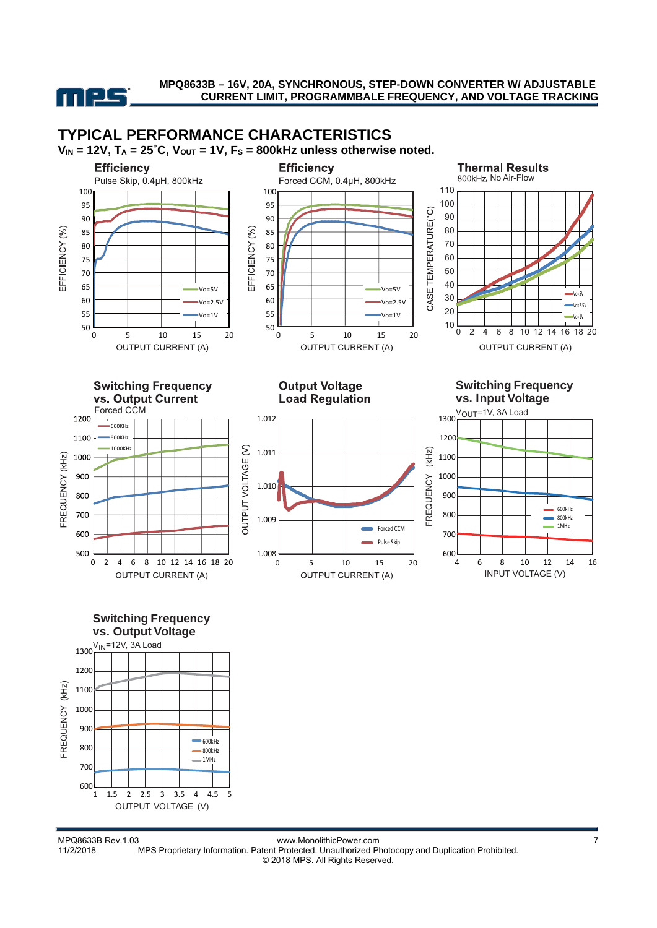

## **TYPICAL PERFORMANCE CHARACTERISTICS**



vs. Output Current Forced CCM 1200  $600KH$ 1100 800KHz 1000KHz OUTPUT VOLTAGE (V) 1000 FREQUENCY (KHz) 900 800 700 600 500 0 2 4 6 8 10 12 14 16 18 20 **OUTPUT CURRENT (A)** 

**Output Voltage Load Regulation** 





Vo=5V Vo=2.5V Vo=1V



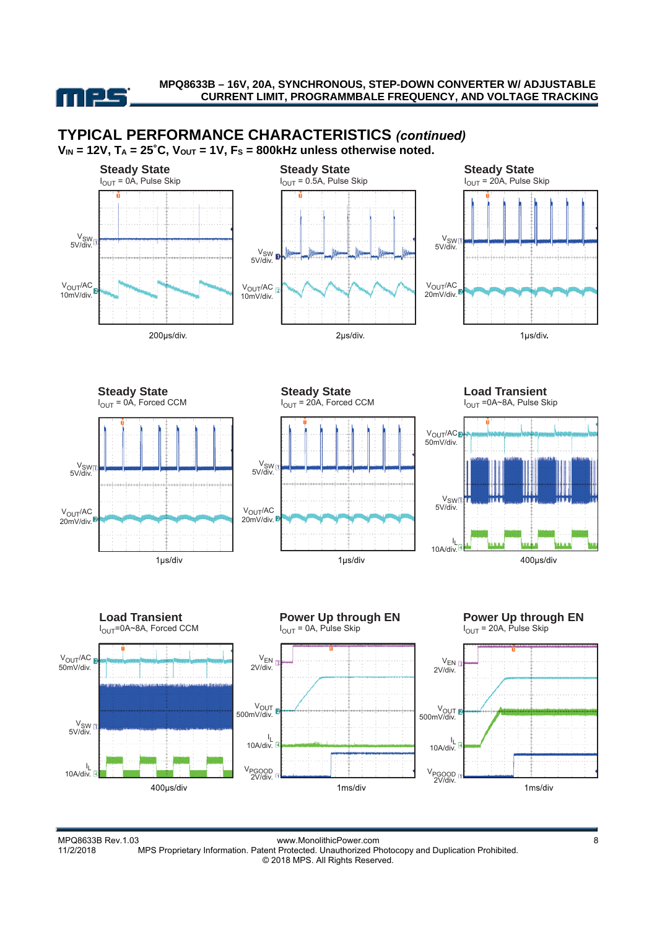



1ms/div

MPQ8633B Rev.1.03 www.MonolithicPower.com<br>11/2/2018 MPS Proprietary Information. Patent Protected. Unauthorized Photocopy and Duplication Prohibited. MPS Proprietary Information. Patent Protected. Unauthorized Photocopy and Duplication Prohibited. © 2018 MPS. All Rights Reserved.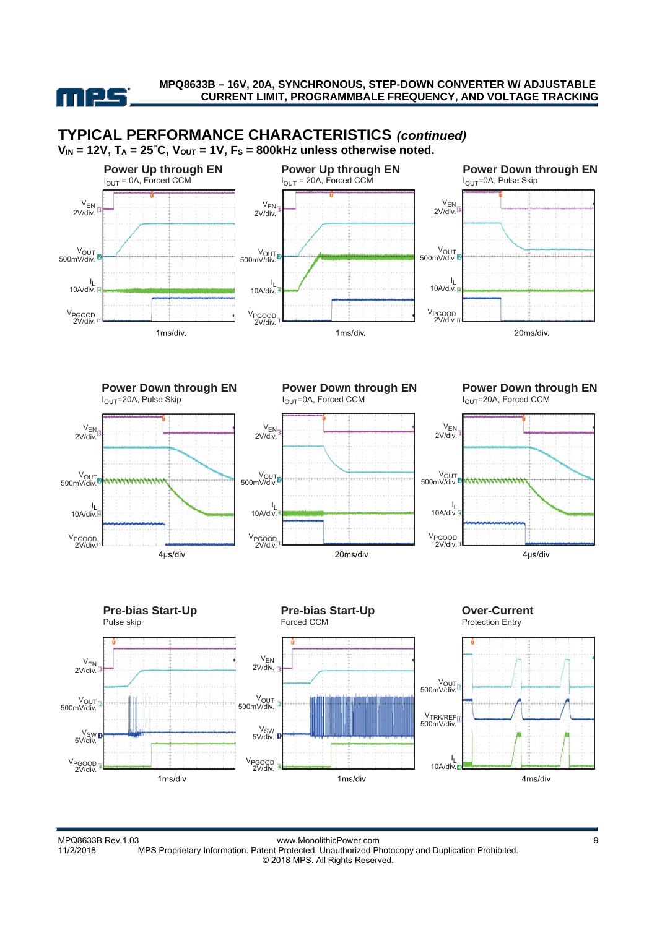



MPQ8633B Rev.1.03 www.MonolithicPower.com<br>11/2/2018 MPS Proprietary Information. Patent Protected. Unauthorized Photocopy and Duplication Prohibited. MPS Proprietary Information. Patent Protected. Unauthorized Photocopy and Duplication Prohibited. © 2018 MPS. All Rights Reserved.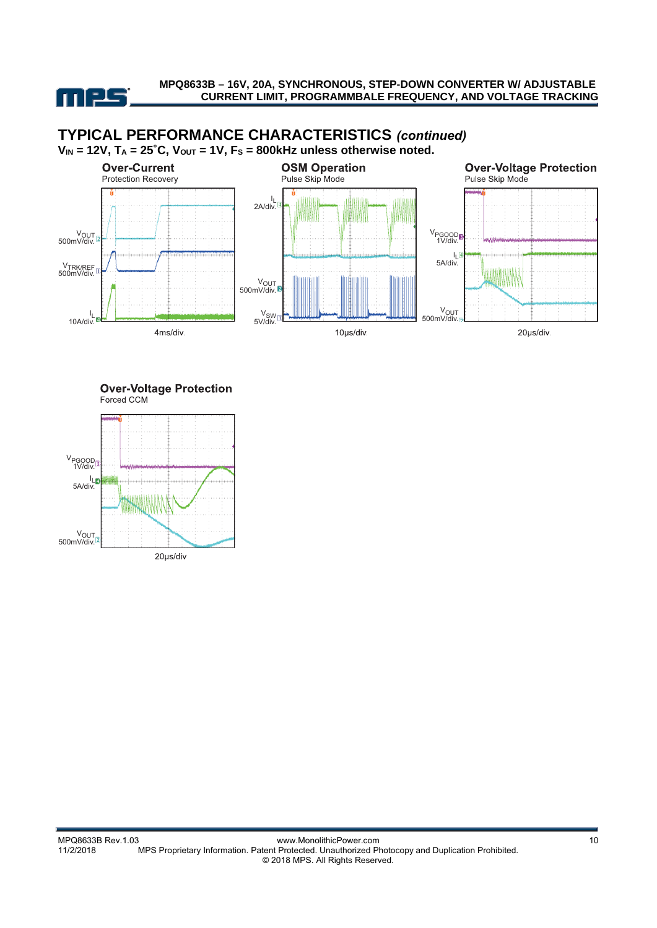

## **TYPICAL PERFORMANCE CHARACTERISTICS** *(continued)*



**Over-Voltage Protection** Forced CCM

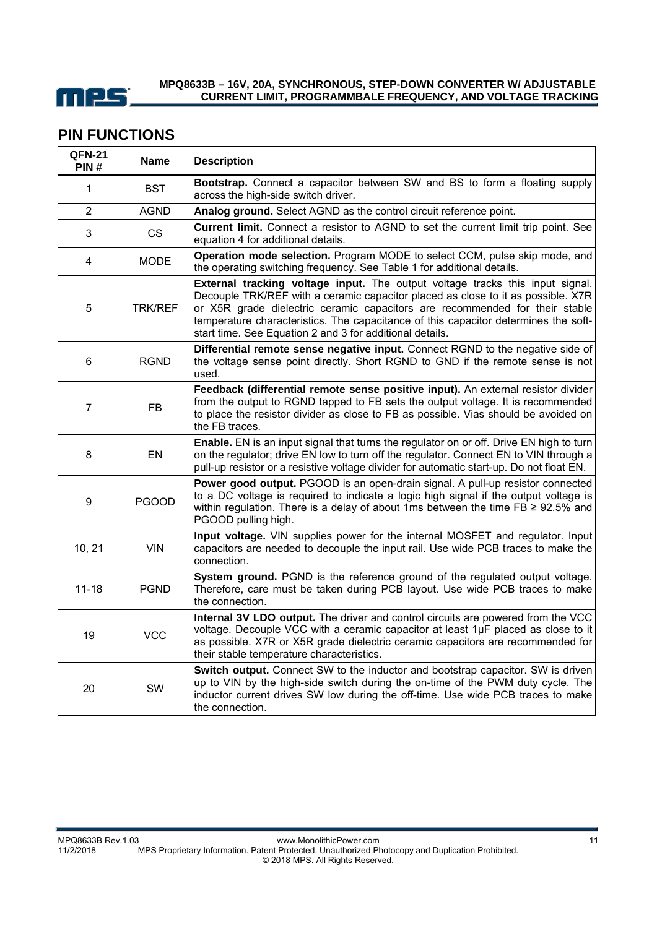

### **PIN FUNCTIONS**

| <b>QFN-21</b><br>PIN# | <b>Name</b>    | <b>Description</b>                                                                                                                                                                                                                                                                                                                                                                                  |
|-----------------------|----------------|-----------------------------------------------------------------------------------------------------------------------------------------------------------------------------------------------------------------------------------------------------------------------------------------------------------------------------------------------------------------------------------------------------|
| $\mathbf 1$           | <b>BST</b>     | Bootstrap. Connect a capacitor between SW and BS to form a floating supply<br>across the high-side switch driver.                                                                                                                                                                                                                                                                                   |
| 2                     | <b>AGND</b>    | Analog ground. Select AGND as the control circuit reference point.                                                                                                                                                                                                                                                                                                                                  |
| 3                     | <b>CS</b>      | <b>Current limit.</b> Connect a resistor to AGND to set the current limit trip point. See<br>equation 4 for additional details.                                                                                                                                                                                                                                                                     |
| 4                     | <b>MODE</b>    | Operation mode selection. Program MODE to select CCM, pulse skip mode, and<br>the operating switching frequency. See Table 1 for additional details.                                                                                                                                                                                                                                                |
| 5                     | <b>TRK/REF</b> | External tracking voltage input. The output voltage tracks this input signal.<br>Decouple TRK/REF with a ceramic capacitor placed as close to it as possible. X7R<br>or X5R grade dielectric ceramic capacitors are recommended for their stable<br>temperature characteristics. The capacitance of this capacitor determines the soft-<br>start time. See Equation 2 and 3 for additional details. |
| 6                     | <b>RGND</b>    | Differential remote sense negative input. Connect RGND to the negative side of<br>the voltage sense point directly. Short RGND to GND if the remote sense is not<br>used.                                                                                                                                                                                                                           |
| 7                     | FB.            | Feedback (differential remote sense positive input). An external resistor divider<br>from the output to RGND tapped to FB sets the output voltage. It is recommended<br>to place the resistor divider as close to FB as possible. Vias should be avoided on<br>the FB traces.                                                                                                                       |
| 8                     | EN             | Enable. EN is an input signal that turns the regulator on or off. Drive EN high to turn<br>on the regulator; drive EN low to turn off the regulator. Connect EN to VIN through a<br>pull-up resistor or a resistive voltage divider for automatic start-up. Do not float EN.                                                                                                                        |
| 9                     | <b>PGOOD</b>   | Power good output. PGOOD is an open-drain signal. A pull-up resistor connected<br>to a DC voltage is required to indicate a logic high signal if the output voltage is<br>within regulation. There is a delay of about 1ms between the time $FB \ge 92.5\%$ and<br>PGOOD pulling high.                                                                                                              |
| 10, 21                | <b>VIN</b>     | Input voltage. VIN supplies power for the internal MOSFET and regulator. Input<br>capacitors are needed to decouple the input rail. Use wide PCB traces to make the<br>connection.                                                                                                                                                                                                                  |
| $11 - 18$             | <b>PGND</b>    | System ground. PGND is the reference ground of the regulated output voltage.<br>Therefore, care must be taken during PCB layout. Use wide PCB traces to make<br>the connection.                                                                                                                                                                                                                     |
| 19                    | <b>VCC</b>     | Internal 3V LDO output. The driver and control circuits are powered from the VCC<br>voltage. Decouple VCC with a ceramic capacitor at least 1µF placed as close to it<br>as possible. X7R or X5R grade dielectric ceramic capacitors are recommended for<br>their stable temperature characteristics.                                                                                               |
| 20                    | <b>SW</b>      | Switch output. Connect SW to the inductor and bootstrap capacitor. SW is driven<br>up to VIN by the high-side switch during the on-time of the PWM duty cycle. The<br>inductor current drives SW low during the off-time. Use wide PCB traces to make<br>the connection.                                                                                                                            |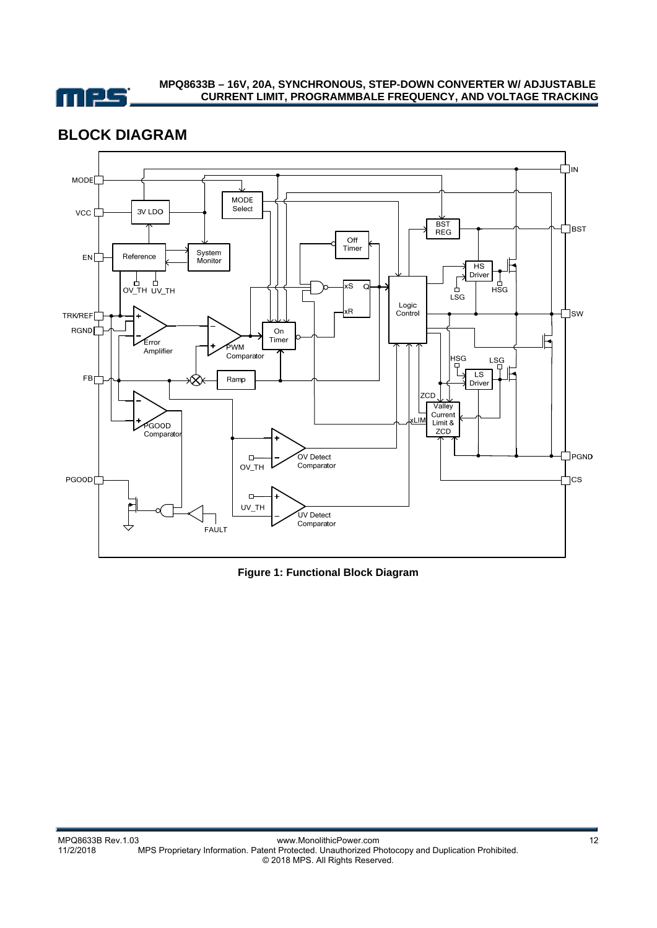

## **BLOCK DIAGRAM**



**Figure 1: Functional Block Diagram**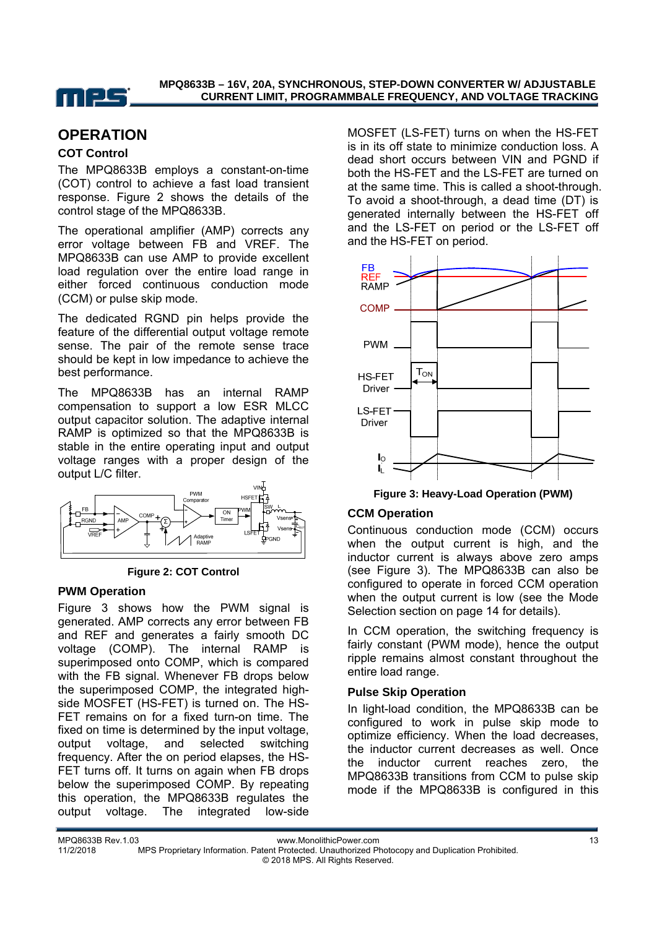

## **OPERATION**

#### **COT Control**

The MPQ8633B employs a constant-on-time (COT) control to achieve a fast load transient response. Figure 2 shows the details of the control stage of the MPQ8633B.

The operational amplifier (AMP) corrects any error voltage between FB and VREF. The MPQ8633B can use AMP to provide excellent load regulation over the entire load range in either forced continuous conduction mode (CCM) or pulse skip mode.

The dedicated RGND pin helps provide the feature of the differential output voltage remote sense. The pair of the remote sense trace should be kept in low impedance to achieve the best performance.

The MPQ8633B has an internal RAMP compensation to support a low ESR MLCC output capacitor solution. The adaptive internal RAMP is optimized so that the MPQ8633B is stable in the entire operating input and output voltage ranges with a proper design of the output L/C filter.



**Figure 2: COT Control**

#### **PWM Operation**

Figure 3 shows how the PWM signal is generated. AMP corrects any error between FB and REF and generates a fairly smooth DC voltage (COMP). The internal RAMP is superimposed onto COMP, which is compared with the FB signal. Whenever FB drops below the superimposed COMP, the integrated highside MOSFET (HS-FET) is turned on. The HS-FET remains on for a fixed turn-on time. The fixed on time is determined by the input voltage, output voltage, and selected switching frequency. After the on period elapses, the HS-FET turns off. It turns on again when FB drops below the superimposed COMP. By repeating this operation, the MPQ8633B regulates the output voltage. The integrated low-side MOSFET (LS-FET) turns on when the HS-FET is in its off state to minimize conduction loss. A dead short occurs between VIN and PGND if both the HS-FET and the LS-FET are turned on at the same time. This is called a shoot-through. To avoid a shoot-through, a dead time (DT) is generated internally between the HS-FET off and the LS-FET on period or the LS-FET off and the HS-FET on period.



**Figure 3: Heavy-Load Operation (PWM)** 

#### **CCM Operation**

Continuous conduction mode (CCM) occurs when the output current is high, and the inductor current is always above zero amps (see Figure 3). The MPQ8633B can also be configured to operate in forced CCM operation when the output current is low (see the Mode Selection section on page 14 for details).

In CCM operation, the switching frequency is fairly constant (PWM mode), hence the output ripple remains almost constant throughout the entire load range.

#### **Pulse Skip Operation**

In light-load condition, the MPQ8633B can be configured to work in pulse skip mode to optimize efficiency. When the load decreases, the inductor current decreases as well. Once the inductor current reaches zero, the MPQ8633B transitions from CCM to pulse skip mode if the MPQ8633B is configured in this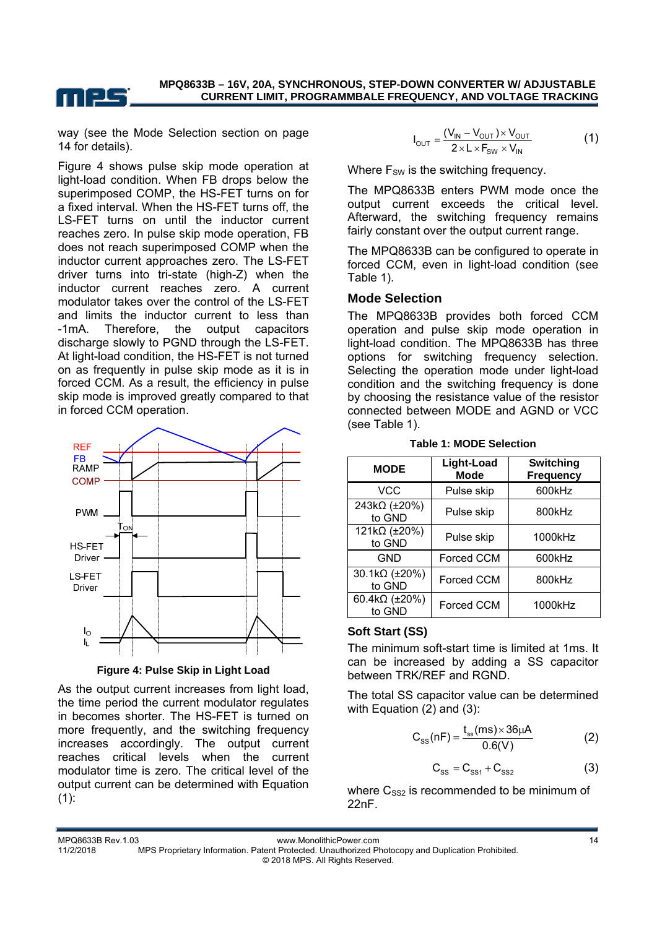

way (see the Mode Selection section on page 14 for details).

Figure 4 shows pulse skip mode operation at light-load condition. When FB drops below the superimposed COMP, the HS-FET turns on for a fixed interval. When the HS-FET turns off, the LS-FET turns on until the inductor current reaches zero. In pulse skip mode operation, FB does not reach superimposed COMP when the inductor current approaches zero. The LS-FET driver turns into tri-state (high-Z) when the inductor current reaches zero. A current modulator takes over the control of the LS-FET and limits the inductor current to less than -1mA. Therefore, the output capacitors discharge slowly to PGND through the LS-FET. At light-load condition, the HS-FET is not turned on as frequently in pulse skip mode as it is in forced CCM. As a result, the efficiency in pulse skip mode is improved greatly compared to that in forced CCM operation.



**Figure 4: Pulse Skip in Light Load** 

As the output current increases from light load, the time period the current modulator regulates in becomes shorter. The HS-FET is turned on more frequently, and the switching frequency increases accordingly. The output current reaches critical levels when the current modulator time is zero. The critical level of the output current can be determined with Equation  $(1):$ 

$$
I_{\text{OUT}} = \frac{(V_{\text{IN}} - V_{\text{OUT}}) \times V_{\text{OUT}}}{2 \times L \times F_{\text{SW}} \times V_{\text{IN}}}
$$
(1)

Where  $F_{SW}$  is the switching frequency.

The MPQ8633B enters PWM mode once the output current exceeds the critical level. Afterward, the switching frequency remains fairly constant over the output current range.

The MPQ8633B can be configured to operate in forced CCM, even in light-load condition (see Table 1).

#### **Mode Selection**

The MPQ8633B provides both forced CCM operation and pulse skip mode operation in light-load condition. The MPQ8633B has three options for switching frequency selection. Selecting the operation mode under light-load condition and the switching frequency is done by choosing the resistance value of the resistor connected between MODE and AGND or VCC (see Table 1).

**Table 1: MODE Selection** 

| <b>MODE</b>             | Light-Load<br><b>Mode</b> | <b>Switching</b><br><b>Frequency</b> |  |
|-------------------------|---------------------------|--------------------------------------|--|
| <b>VCC</b>              | Pulse skip                | 600kHz                               |  |
| 243kΩ (±20%)<br>to GND  | Pulse skip                | 800kHz                               |  |
| 121kΩ (±20%)<br>to GND  | Pulse skip                | 1000kHz                              |  |
| <b>GND</b>              | Forced CCM                | 600kHz                               |  |
| 30.1kΩ (±20%)<br>to GND | Forced CCM                | 800kHz                               |  |
| 60.4kΩ (±20%)<br>to GND | Forced CCM                | 1000kHz                              |  |

#### **Soft Start (SS)**

The minimum soft-start time is limited at 1ms. It can be increased by adding a SS capacitor between TRK/REF and RGND.

The total SS capacitor value can be determined with Equation (2) and (3):

$$
C_{ss}(nF) = \frac{t_{ss}(ms) \times 36 \mu A}{0.6(V)}
$$
 (2)

$$
C_{SS} = C_{SS1} + C_{SS2}
$$
 (3)

where  $C_{SS2}$  is recommended to be minimum of 22nF.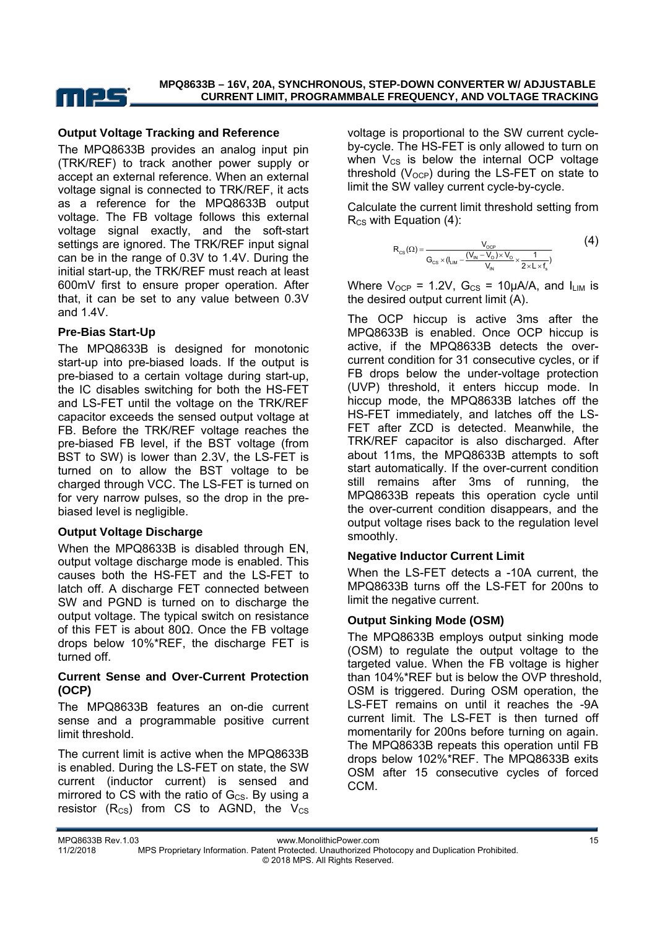

#### **Output Voltage Tracking and Reference**

The MPQ8633B provides an analog input pin (TRK/REF) to track another power supply or accept an external reference. When an external voltage signal is connected to TRK/REF, it acts as a reference for the MPQ8633B output voltage. The FB voltage follows this external voltage signal exactly, and the soft-start settings are ignored. The TRK/REF input signal can be in the range of 0.3V to 1.4V. During the initial start-up, the TRK/REF must reach at least 600mV first to ensure proper operation. After that, it can be set to any value between 0.3V and 1.4V.

#### **Pre-Bias Start-Up**

The MPQ8633B is designed for monotonic start-up into pre-biased loads. If the output is pre-biased to a certain voltage during start-up, the IC disables switching for both the HS-FET and LS-FET until the voltage on the TRK/REF capacitor exceeds the sensed output voltage at FB. Before the TRK/REF voltage reaches the pre-biased FB level, if the BST voltage (from BST to SW) is lower than 2.3V, the LS-FET is turned on to allow the BST voltage to be charged through VCC. The LS-FET is turned on for very narrow pulses, so the drop in the prebiased level is negligible.

#### **Output Voltage Discharge**

When the MPQ8633B is disabled through EN, output voltage discharge mode is enabled. This causes both the HS-FET and the LS-FET to latch off. A discharge FET connected between SW and PGND is turned on to discharge the output voltage. The typical switch on resistance of this FET is about 80Ω. Once the FB voltage drops below 10%\*REF, the discharge FET is turned off.

#### **Current Sense and Over-Current Protection (OCP)**

The MPQ8633B features an on-die current sense and a programmable positive current limit threshold.

The current limit is active when the MPQ8633B is enabled. During the LS-FET on state, the SW current (inductor current) is sensed and mirrored to CS with the ratio of  $G_{\text{CS}}$ . By using a resistor  $(R_{CS})$  from CS to AGND, the  $V_{CS}$ 

voltage is proportional to the SW current cycleby-cycle. The HS-FET is only allowed to turn on when  $V_{CS}$  is below the internal OCP voltage threshold ( $V<sub>OCP</sub>$ ) during the LS-FET on state to limit the SW valley current cycle-by-cycle.

Calculate the current limit threshold setting from  $R_{CS}$  with Equation (4):

$$
R_{_{CS}}(\Omega) = \frac{V_{_{OCP}}}{G_{_{CS}} \times (I_{_{LIM}} - \frac{(V_{_{IN}} - V_{_O}) \times V_{_O}}{V_{_{IN}}} \times \frac{1}{2 \times L \times f_{_s}})}
$$
(4)

Where  $V_{OCP}$  = 1.2V,  $G_{CS}$  = 10µA/A, and  $I_{LIM}$  is the desired output current limit (A).

The OCP hiccup is active 3ms after the MPQ8633B is enabled. Once OCP hiccup is active, if the MPQ8633B detects the overcurrent condition for 31 consecutive cycles, or if FB drops below the under-voltage protection (UVP) threshold, it enters hiccup mode. In hiccup mode, the MPQ8633B latches off the HS-FET immediately, and latches off the LS-FET after ZCD is detected. Meanwhile, the TRK/REF capacitor is also discharged. After about 11ms, the MPQ8633B attempts to soft start automatically. If the over-current condition still remains after 3ms of running, the MPQ8633B repeats this operation cycle until the over-current condition disappears, and the output voltage rises back to the regulation level smoothly.

#### **Negative Inductor Current Limit**

When the LS-FET detects a -10A current, the MPQ8633B turns off the LS-FET for 200ns to limit the negative current.

#### **Output Sinking Mode (OSM)**

The MPQ8633B employs output sinking mode (OSM) to regulate the output voltage to the targeted value. When the FB voltage is higher than 104%\*REF but is below the OVP threshold, OSM is triggered. During OSM operation, the LS-FET remains on until it reaches the -9A current limit. The LS-FET is then turned off momentarily for 200ns before turning on again. The MPQ8633B repeats this operation until FB drops below 102%\*REF. The MPQ8633B exits OSM after 15 consecutive cycles of forced CCM.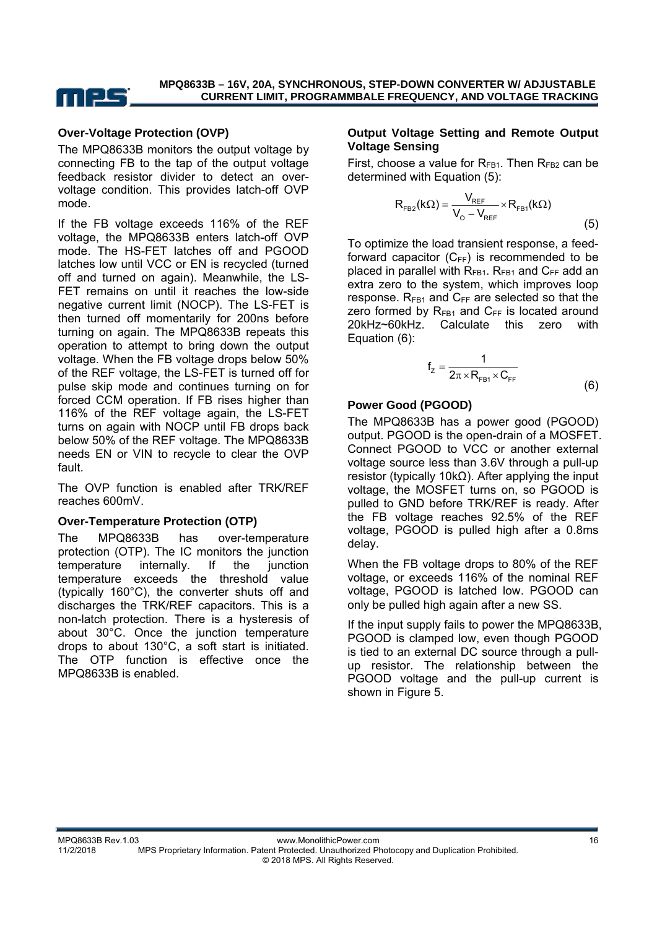

#### **Over-Voltage Protection (OVP)**

The MPQ8633B monitors the output voltage by connecting FB to the tap of the output voltage feedback resistor divider to detect an overvoltage condition. This provides latch-off OVP mode.

If the FB voltage exceeds 116% of the REF voltage, the MPQ8633B enters latch-off OVP mode. The HS-FET latches off and PGOOD latches low until VCC or EN is recycled (turned off and turned on again). Meanwhile, the LS-FET remains on until it reaches the low-side negative current limit (NOCP). The LS-FET is then turned off momentarily for 200ns before turning on again. The MPQ8633B repeats this operation to attempt to bring down the output voltage. When the FB voltage drops below 50% of the REF voltage, the LS-FET is turned off for pulse skip mode and continues turning on for forced CCM operation. If FB rises higher than 116% of the REF voltage again, the LS-FET turns on again with NOCP until FB drops back below 50% of the REF voltage. The MPQ8633B needs EN or VIN to recycle to clear the OVP fault.

The OVP function is enabled after TRK/REF reaches 600mV.

#### **Over-Temperature Protection (OTP)**

The MPQ8633B has over-temperature protection (OTP). The IC monitors the junction temperature internally. If the junction temperature exceeds the threshold value (typically 160°C), the converter shuts off and discharges the TRK/REF capacitors. This is a non-latch protection. There is a hysteresis of about 30°C. Once the junction temperature drops to about 130°C, a soft start is initiated. The OTP function is effective once the MPQ8633B is enabled.

#### **Output Voltage Setting and Remote Output Voltage Sensing**

First, choose a value for  $R_{FB1}$ . Then  $R_{FB2}$  can be determined with Equation (5):

$$
R_{FB2}(k\Omega) = \frac{V_{REF}}{V_0 - V_{REF}} \times R_{FB1}(k\Omega)
$$
\n(5)

To optimize the load transient response, a feedforward capacitor  $(C_{FF})$  is recommended to be placed in parallel with  $R_{FB1}$ .  $R_{FB1}$  and  $C_{FF}$  add an extra zero to the system, which improves loop response.  $R_{FB1}$  and  $C_{FF}$  are selected so that the zero formed by  $R_{FB1}$  and  $C_{FF}$  is located around 20kHz~60kHz. Calculate this zero with Equation (6):

$$
f_z = \frac{1}{2\pi \times R_{FB1} \times C_{FF}}
$$
 (6)

#### **Power Good (PGOOD)**

The MPQ8633B has a power good (PGOOD) output. PGOOD is the open-drain of a MOSFET. Connect PGOOD to VCC or another external voltage source less than 3.6V through a pull-up resistor (typically 10kΩ). After applying the input voltage, the MOSFET turns on, so PGOOD is pulled to GND before TRK/REF is ready. After the FB voltage reaches 92.5% of the REF voltage, PGOOD is pulled high after a 0.8ms delay.

When the FB voltage drops to 80% of the REF voltage, or exceeds 116% of the nominal REF voltage, PGOOD is latched low. PGOOD can only be pulled high again after a new SS.

If the input supply fails to power the MPQ8633B, PGOOD is clamped low, even though PGOOD is tied to an external DC source through a pullup resistor. The relationship between the PGOOD voltage and the pull-up current is shown in Figure 5.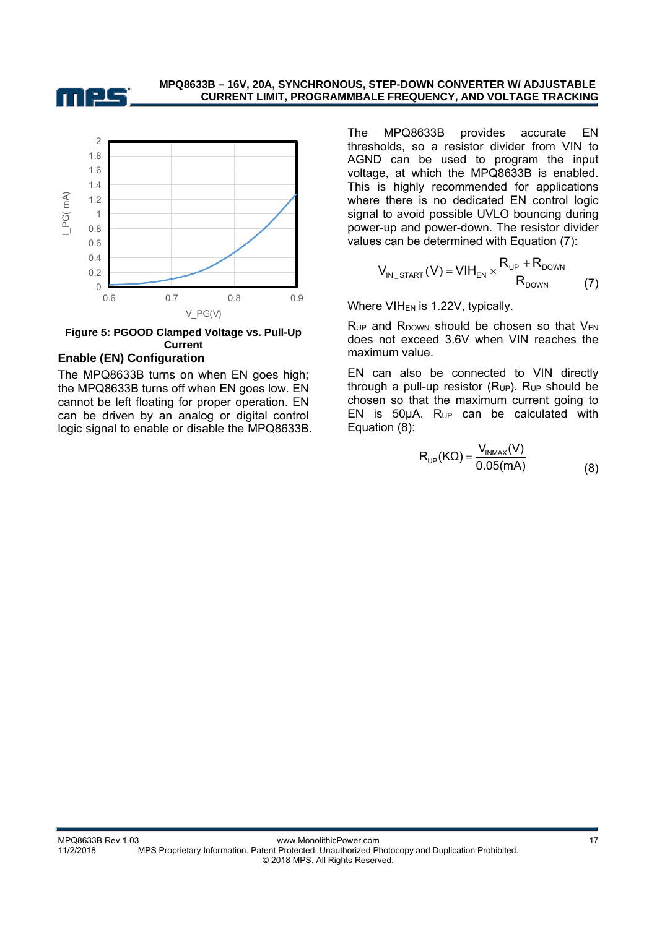



#### **Figure 5: PGOOD Clamped Voltage vs. Pull-Up Current**

#### **Enable (EN) Configuration**

The MPQ8633B turns on when EN goes high; the MPQ8633B turns off when EN goes low. EN cannot be left floating for proper operation. EN can be driven by an analog or digital control logic signal to enable or disable the MPQ8633B. The MPQ8633B provides accurate EN thresholds, so a resistor divider from VIN to AGND can be used to program the input voltage, at which the MPQ8633B is enabled. This is highly recommended for applications where there is no dedicated EN control logic signal to avoid possible UVLO bouncing during power-up and power-down. The resistor divider values can be determined with Equation (7):

$$
V_{IN\_START}(V) = VIH_{EN} \times \frac{R_{UP} + R_{DONN}}{R_{DONN}}
$$
 (7)

Where  $VIH_{EN}$  is 1.22V, typically.

 $R_{UP}$  and  $R_{DOWN}$  should be chosen so that  $V_{EN}$ does not exceed 3.6V when VIN reaches the maximum value.

EN can also be connected to VIN directly through a pull-up resistor  $(R_{UP})$ .  $R_{UP}$  should be chosen so that the maximum current going to EN is  $50\mu A$ . R<sub>UP</sub> can be calculated with Equation (8):

$$
R_{UP}(K\Omega) = \frac{V_{INMAX}(V)}{0.05(mA)}
$$
 (8)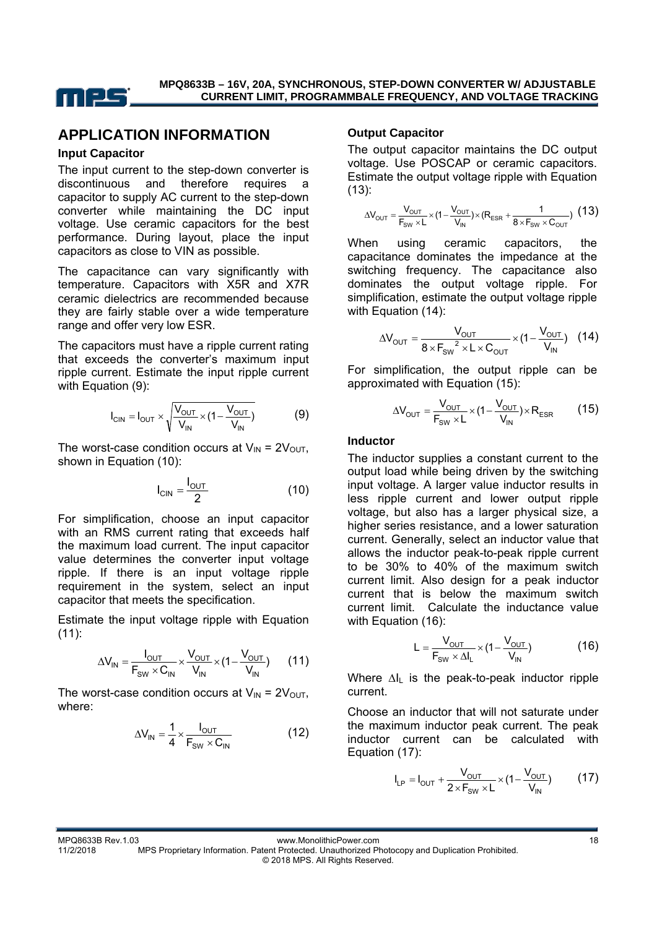

## **APPLICATION INFORMATION**

#### **Input Capacitor**

The input current to the step-down converter is discontinuous and therefore requires a capacitor to supply AC current to the step-down converter while maintaining the DC input voltage. Use ceramic capacitors for the best performance. During layout, place the input capacitors as close to VIN as possible.

The capacitance can vary significantly with temperature. Capacitors with X5R and X7R ceramic dielectrics are recommended because they are fairly stable over a wide temperature range and offer very low ESR.

The capacitors must have a ripple current rating that exceeds the converter's maximum input ripple current. Estimate the input ripple current with Equation (9):

$$
I_{\text{CIN}} = I_{\text{OUT}} \times \sqrt{\frac{V_{\text{OUT}}}{V_{\text{IN}}} \times (1 - \frac{V_{\text{OUT}}}{V_{\text{IN}}})}
$$
(9)

The worst-case condition occurs at  $V_{IN} = 2V_{OUT}$ , shown in Equation (10):

$$
I_{\text{CIN}} = \frac{I_{\text{OUT}}}{2} \tag{10}
$$

For simplification, choose an input capacitor with an RMS current rating that exceeds half the maximum load current. The input capacitor value determines the converter input voltage ripple. If there is an input voltage ripple requirement in the system, select an input capacitor that meets the specification.

Estimate the input voltage ripple with Equation (11):

$$
\Delta V_{IN} = \frac{I_{OUT}}{F_{SW} \times C_{IN}} \times \frac{V_{OUT}}{V_{IN}} \times (1 - \frac{V_{OUT}}{V_{IN}})
$$
 (11)

The worst-case condition occurs at  $V_{IN} = 2V_{OUT}$ , where:

$$
\Delta V_{IN} = \frac{1}{4} \times \frac{I_{OUT}}{F_{SW} \times C_{IN}}
$$
(12)

#### **Output Capacitor**

The output capacitor maintains the DC output voltage. Use POSCAP or ceramic capacitors. Estimate the output voltage ripple with Equation (13):

$$
\Delta V_{\text{OUT}} = \frac{V_{\text{OUT}}}{F_{\text{SW}} \times L} \times (1 - \frac{V_{\text{OUT}}}{V_{\text{IN}}}) \times (R_{\text{ESR}} + \frac{1}{8 \times F_{\text{SW}} \times C_{\text{OUT}}}) \tag{13}
$$

When using ceramic capacitors, the capacitance dominates the impedance at the switching frequency. The capacitance also dominates the output voltage ripple. For simplification, estimate the output voltage ripple with Equation (14):

$$
\Delta V_{\text{OUT}} = \frac{V_{\text{OUT}}}{8 \times F_{\text{SW}}^2 \times L \times C_{\text{OUT}}} \times (1 - \frac{V_{\text{OUT}}}{V_{\text{IN}}}) \quad (14)
$$

For simplification, the output ripple can be approximated with Equation (15):

$$
\Delta V_{\text{OUT}} = \frac{V_{\text{OUT}}}{F_{\text{SW}} \times L} \times (1 - \frac{V_{\text{OUT}}}{V_{\text{IN}}}) \times R_{\text{ESR}} \tag{15}
$$

#### **Inductor**

The inductor supplies a constant current to the output load while being driven by the switching input voltage. A larger value inductor results in less ripple current and lower output ripple voltage, but also has a larger physical size, a higher series resistance, and a lower saturation current. Generally, select an inductor value that allows the inductor peak-to-peak ripple current to be 30% to 40% of the maximum switch current limit. Also design for a peak inductor current that is below the maximum switch current limit. Calculate the inductance value with Equation (16):

$$
L = \frac{V_{OUT}}{F_{SW} \times \Delta I_L} \times (1 - \frac{V_{OUT}}{V_{IN}})
$$
 (16)

Where ∆I<sub>L</sub> is the peak-to-peak inductor ripple current.

Choose an inductor that will not saturate under the maximum inductor peak current. The peak inductor current can be calculated with Equation (17):

$$
I_{LP} = I_{OUT} + \frac{V_{OUT}}{2 \times F_{SW} \times L} \times (1 - \frac{V_{OUT}}{V_{IN}})
$$
 (17)

MPQ8633B Rev.1.03 **MPQ8633B Rev.1.03** www.MonolithicPower.com 18

11/2/2018 MPS Proprietary Information. Patent Protected. Unauthorized Photocopy and Duplication Prohibited. © 2018 MPS. All Rights Reserved.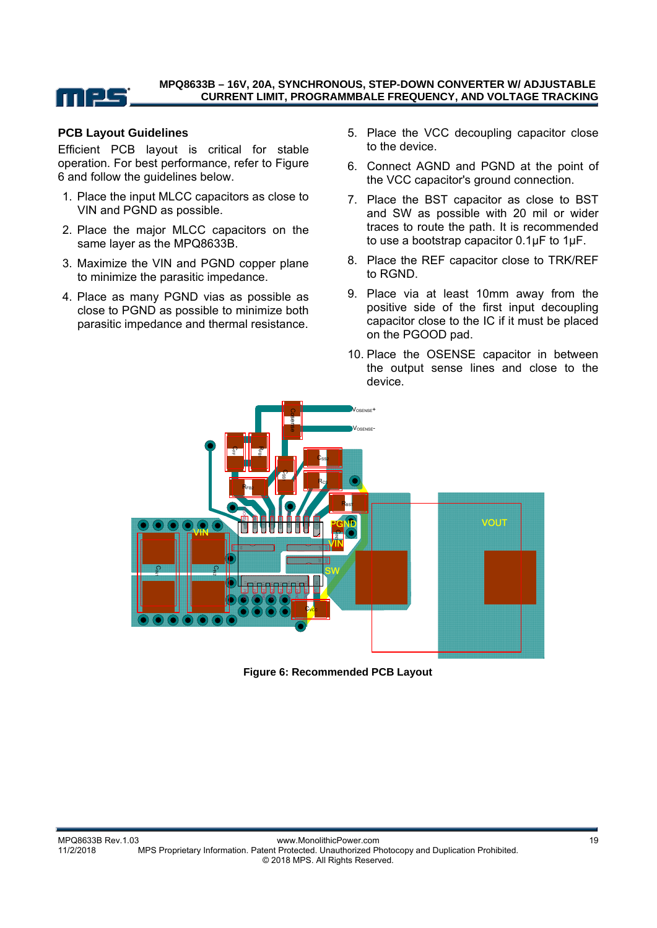

#### **PCB Layout Guidelines**

Efficient PCB layout is critical for stable operation. For best performance, refer to Figure 6 and follow the guidelines below.

- 1. Place the input MLCC capacitors as close to VIN and PGND as possible.
- 2. Place the major MLCC capacitors on the same layer as the MPQ8633B.
- 3. Maximize the VIN and PGND copper plane to minimize the parasitic impedance.
- 4. Place as many PGND vias as possible as close to PGND as possible to minimize both parasitic impedance and thermal resistance.
- 5. Place the VCC decoupling capacitor close to the device.
- 6. Connect AGND and PGND at the point of the VCC capacitor's ground connection.
- 7. Place the BST capacitor as close to BST and SW as possible with 20 mil or wider traces to route the path. It is recommended to use a bootstrap capacitor 0.1µF to 1µF.
- 8. Place the REF capacitor close to TRK/REF to RGND.
- 9. Place via at least 10mm away from the positive side of the first input decoupling capacitor close to the IC if it must be placed on the PGOOD pad.
- 10. Place the OSENSE capacitor in between the output sense lines and close to the device.



**Figure 6: Recommended PCB Layout**